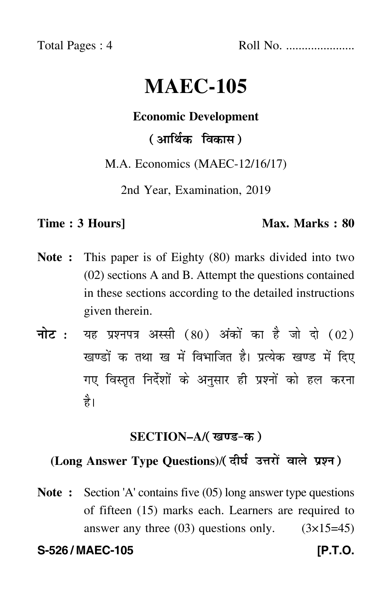Total Pages : 4 Roll No. ......................

# **MAEC-105**

### **Economic Development**

( आर्थिक विकास )

M.A. Economics (MAEC-12/16/17)

2nd Year, Examination, 2019

#### **Time : 3 Hours]** Max. Marks : 80

- **Note :** This paper is of Eighty (80) marks divided into two (02) sections A and B. Attempt the questions contained in these sections according to the detailed instructions given therein.
- नोट : यह प्रश्नपत्र अस्सी (80) अंकों का है जो दो (02) खण्डों क तथा ख में विभाजित है। प्रत्येक खण्ड में दिए गए विस्तृत निर्देशों के अनुसार ही प्रश्नों को हल करन<mark>ा</mark> है।

### **SECTION–A/**

## **(Long Answer Type Questions)**/

**Note :** Section 'A' contains five (05) long answer type questions of fifteen (15) marks each. Learners are required to answer any three  $(03)$  questions only.  $(3\times15=45)$ 

**S-526 / MAEC-105 [P.T.O.**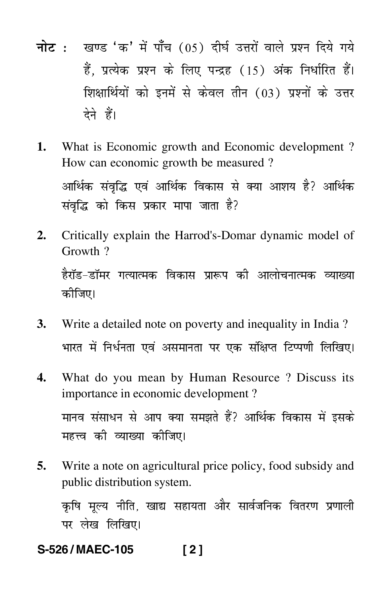- <mark>नोट</mark> : खण्ड 'क' में पाँच (05) दीर्घ उत्तरों वाले प्रश्न दिये गये हैं, प्रत्येक प्रश्न के लिए पन्द्रह (15) अंक निर्धारित हैं। शिक्षार्थियों को इनमें से केवल तीन (03) प्रश्नों के उत्तर देने हैं।
- **1.** What is Economic growth and Economic development ? How can economic growth be measured ? आर्थिक संवृद्धि एवं आर्थिक विकास से क्या आशय है? आर्थिक संवृद्धि को किस प्रकार मापा जाता है?
- **2.** Critically explain the Harrod's-Domar dynamic model of Growth ? हैरॉड–डॉमर गत्यात्मक विकास प्रारूप की आलोचनात्मक व्याख्या कीजिए।
- **3.** Write a detailed note on poverty and inequality in India ? भारत में निर्धनता एवं असमानता पर एक संक्षिप्त टिप्पणी लिखिए। -
- **4.** What do you mean by Human Resource ? Discuss its importance in economic development ? मानव संसाधन से आप क्या समझते हैं? आर्थिक विकास में इसके महत्त्व की व्याख्या क<mark>ी</mark>जिए।
- **5.** Write a note on agricultural price policy, food subsidy and public distribution system.

कृषि मूल्य नीति, खाद्य सहायता और सार्वजनिक वितरण प्रणाली --पर लेख लिखिए।

**S-526 / MAEC-105 [ 2 ]**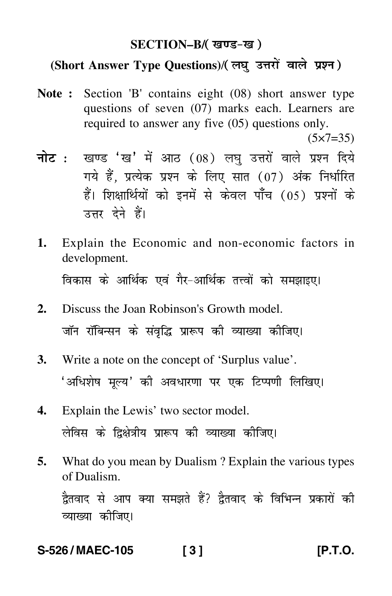#### **SECTION–B/**

# **(Short Answer Type Questions)**/

- **Note :** Section 'B' contains eight (08) short answer type questions of seven (07) marks each. Learners are required to answer any five (05) questions only.  $(5 \times 7 = 35)$
- <mark>नोट</mark> : खण्ड 'ख' में आठ (08) लघु उत्तरों वाले प्रश्न दिये गये हैं, प्रत्येक प्रश्न के लिए सात (07) अंक निर्धारित हैं। शिक्षार्थियों को इनमें से केवल पाँच (05) प्रश्नों के उत्तर देने हैं।
- **1.** Explain the Economic and non-economic factors in development. विकास के आर्थिक एवं गैर–आर्थिक तत्त्वों को समझाइए। Ì
- **2.** Discuss the Joan Robinson's Growth model. जॉन रॉबिन्सन के संवृद्धि प्रारूप की व्याख्या कीजिए।
- **3.** Write a note on the concept of 'Surplus value'. 'अधिशेष मूल्य' की अवधारणा पर एक टिप्पणी लिखिए। -
- **4.** Explain the Lewis' two sector model. लेविस के द्विक्षेत्रीय प्रारूप की व्याख्या कीजिए।
- **5.** What do you mean by Dualism ? Explain the various types of Dualism.

द्वैतवाद से आप क्या समझते हैं? द्वैतवाद के विभिन्न प्रकारों की --<mark>व्याख्या कीजिए</mark>।

**S-526 / MAEC-105 [ 3 ] [P.T.O.**